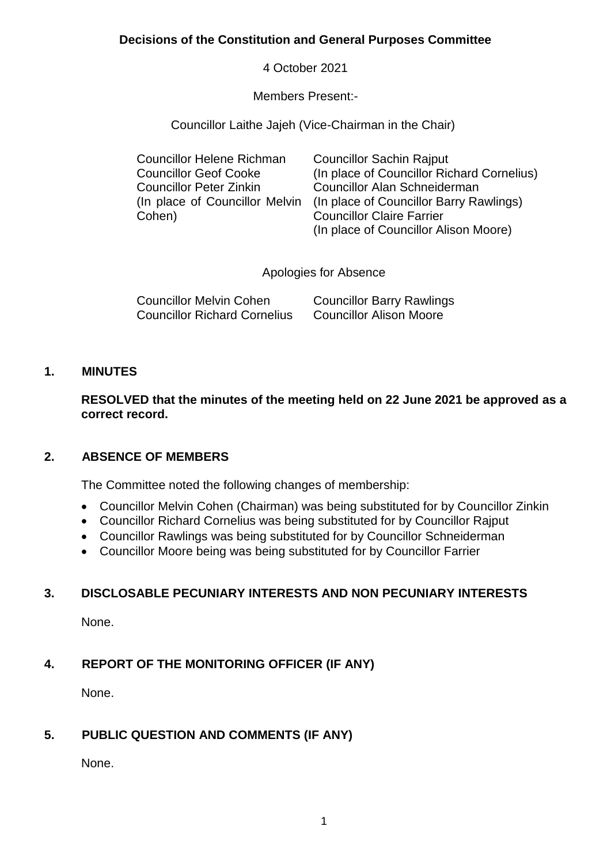## **Decisions of the Constitution and General Purposes Committee**

4 October 2021

Members Present:-

Councillor Laithe Jajeh (Vice-Chairman in the Chair)

| <b>Councillor Helene Richman</b> | <b>Councillor Sachin Rajput</b>            |
|----------------------------------|--------------------------------------------|
| <b>Councillor Geof Cooke</b>     | (In place of Councillor Richard Cornelius) |
| <b>Councillor Peter Zinkin</b>   | Councillor Alan Schneiderman               |
| (In place of Councillor Melvin   | (In place of Councillor Barry Rawlings)    |
| Cohen)                           | <b>Councillor Claire Farrier</b>           |
|                                  | (In place of Councillor Alison Moore)      |

Apologies for Absence

| <b>Councillor Melvin Cohen</b>      | <b>Councillor Barry Rawlings</b> |
|-------------------------------------|----------------------------------|
| <b>Councillor Richard Cornelius</b> | <b>Councillor Alison Moore</b>   |

## **1. MINUTES**

**RESOLVED that the minutes of the meeting held on 22 June 2021 be approved as a correct record.**

# **2. ABSENCE OF MEMBERS**

The Committee noted the following changes of membership:

- Councillor Melvin Cohen (Chairman) was being substituted for by Councillor Zinkin
- Councillor Richard Cornelius was being substituted for by Councillor Rajput
- Councillor Rawlings was being substituted for by Councillor Schneiderman
- Councillor Moore being was being substituted for by Councillor Farrier

# **3. DISCLOSABLE PECUNIARY INTERESTS AND NON PECUNIARY INTERESTS**

None.

# **4. REPORT OF THE MONITORING OFFICER (IF ANY)**

None.

# **5. PUBLIC QUESTION AND COMMENTS (IF ANY)**

None.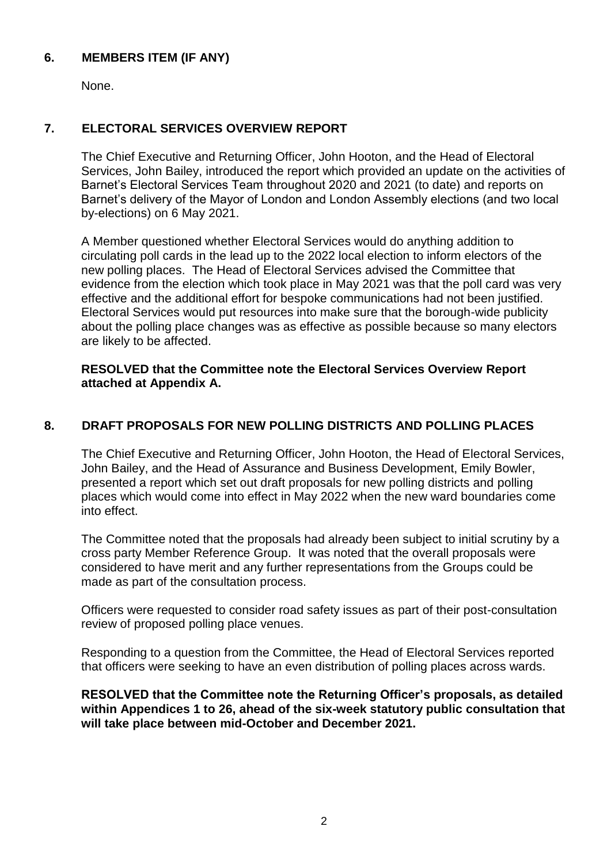# **6. MEMBERS ITEM (IF ANY)**

None.

# **7. ELECTORAL SERVICES OVERVIEW REPORT**

The Chief Executive and Returning Officer, John Hooton, and the Head of Electoral Services, John Bailey, introduced the report which provided an update on the activities of Barnet's Electoral Services Team throughout 2020 and 2021 (to date) and reports on Barnet's delivery of the Mayor of London and London Assembly elections (and two local by-elections) on 6 May 2021.

A Member questioned whether Electoral Services would do anything addition to circulating poll cards in the lead up to the 2022 local election to inform electors of the new polling places. The Head of Electoral Services advised the Committee that evidence from the election which took place in May 2021 was that the poll card was very effective and the additional effort for bespoke communications had not been justified. Electoral Services would put resources into make sure that the borough-wide publicity about the polling place changes was as effective as possible because so many electors are likely to be affected.

## **RESOLVED that the Committee note the Electoral Services Overview Report attached at Appendix A.**

# **8. DRAFT PROPOSALS FOR NEW POLLING DISTRICTS AND POLLING PLACES**

The Chief Executive and Returning Officer, John Hooton, the Head of Electoral Services, John Bailey, and the Head of Assurance and Business Development, Emily Bowler, presented a report which set out draft proposals for new polling districts and polling places which would come into effect in May 2022 when the new ward boundaries come into effect.

The Committee noted that the proposals had already been subject to initial scrutiny by a cross party Member Reference Group. It was noted that the overall proposals were considered to have merit and any further representations from the Groups could be made as part of the consultation process.

Officers were requested to consider road safety issues as part of their post-consultation review of proposed polling place venues.

Responding to a question from the Committee, the Head of Electoral Services reported that officers were seeking to have an even distribution of polling places across wards.

**RESOLVED that the Committee note the Returning Officer's proposals, as detailed within Appendices 1 to 26, ahead of the six-week statutory public consultation that will take place between mid-October and December 2021.**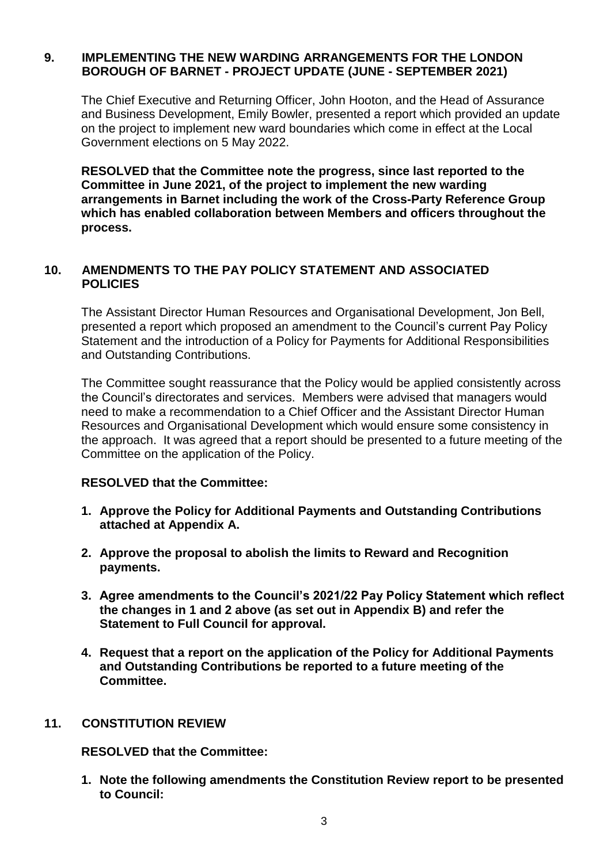# **9. IMPLEMENTING THE NEW WARDING ARRANGEMENTS FOR THE LONDON BOROUGH OF BARNET - PROJECT UPDATE (JUNE - SEPTEMBER 2021)**

The Chief Executive and Returning Officer, John Hooton, and the Head of Assurance and Business Development, Emily Bowler, presented a report which provided an update on the project to implement new ward boundaries which come in effect at the Local Government elections on 5 May 2022.

**RESOLVED that the Committee note the progress, since last reported to the Committee in June 2021, of the project to implement the new warding arrangements in Barnet including the work of the Cross-Party Reference Group which has enabled collaboration between Members and officers throughout the process.**

## **10. AMENDMENTS TO THE PAY POLICY STATEMENT AND ASSOCIATED POLICIES**

The Assistant Director Human Resources and Organisational Development, Jon Bell, presented a report which proposed an amendment to the Council's current Pay Policy Statement and the introduction of a Policy for Payments for Additional Responsibilities and Outstanding Contributions.

The Committee sought reassurance that the Policy would be applied consistently across the Council's directorates and services. Members were advised that managers would need to make a recommendation to a Chief Officer and the Assistant Director Human Resources and Organisational Development which would ensure some consistency in the approach. It was agreed that a report should be presented to a future meeting of the Committee on the application of the Policy.

## **RESOLVED that the Committee:**

- **1. Approve the Policy for Additional Payments and Outstanding Contributions attached at Appendix A.**
- **2. Approve the proposal to abolish the limits to Reward and Recognition payments.**
- **3. Agree amendments to the Council's 2021/22 Pay Policy Statement which reflect the changes in 1 and 2 above (as set out in Appendix B) and refer the Statement to Full Council for approval.**
- **4. Request that a report on the application of the Policy for Additional Payments and Outstanding Contributions be reported to a future meeting of the Committee.**

## **11. CONSTITUTION REVIEW**

**RESOLVED that the Committee:**

**1. Note the following amendments the Constitution Review report to be presented to Council:**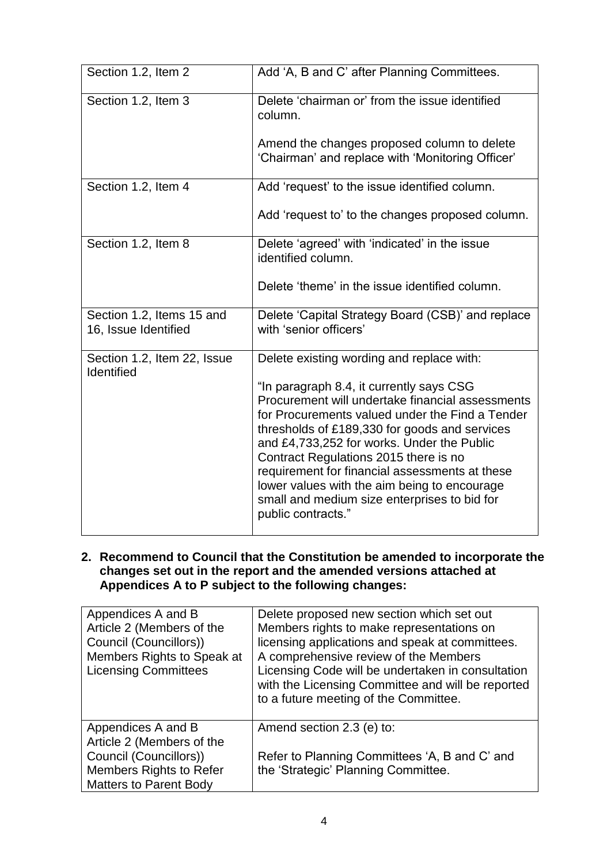| Section 1.2, Item 2                               | Add 'A, B and C' after Planning Committees.                                                                                                                                                                                                                                                                                                                                                                                                                     |
|---------------------------------------------------|-----------------------------------------------------------------------------------------------------------------------------------------------------------------------------------------------------------------------------------------------------------------------------------------------------------------------------------------------------------------------------------------------------------------------------------------------------------------|
| Section 1.2, Item 3                               | Delete 'chairman or' from the issue identified<br>column.                                                                                                                                                                                                                                                                                                                                                                                                       |
|                                                   | Amend the changes proposed column to delete<br>'Chairman' and replace with 'Monitoring Officer'                                                                                                                                                                                                                                                                                                                                                                 |
| Section 1.2, Item 4                               | Add 'request' to the issue identified column.                                                                                                                                                                                                                                                                                                                                                                                                                   |
|                                                   | Add 'request to' to the changes proposed column.                                                                                                                                                                                                                                                                                                                                                                                                                |
| Section 1.2, Item 8                               | Delete 'agreed' with 'indicated' in the issue<br>identified column.                                                                                                                                                                                                                                                                                                                                                                                             |
|                                                   | Delete 'theme' in the issue identified column.                                                                                                                                                                                                                                                                                                                                                                                                                  |
| Section 1.2, Items 15 and<br>16, Issue Identified | Delete 'Capital Strategy Board (CSB)' and replace<br>with 'senior officers'                                                                                                                                                                                                                                                                                                                                                                                     |
| Section 1.2, Item 22, Issue<br>Identified         | Delete existing wording and replace with:                                                                                                                                                                                                                                                                                                                                                                                                                       |
|                                                   | "In paragraph 8.4, it currently says CSG<br>Procurement will undertake financial assessments<br>for Procurements valued under the Find a Tender<br>thresholds of £189,330 for goods and services<br>and £4,733,252 for works. Under the Public<br>Contract Regulations 2015 there is no<br>requirement for financial assessments at these<br>lower values with the aim being to encourage<br>small and medium size enterprises to bid for<br>public contracts." |

**2. Recommend to Council that the Constitution be amended to incorporate the changes set out in the report and the amended versions attached at Appendices A to P subject to the following changes:**

| Appendices A and B<br>Article 2 (Members of the<br>Council (Councillors))<br>Members Rights to Speak at<br><b>Licensing Committees</b>       | Delete proposed new section which set out<br>Members rights to make representations on<br>licensing applications and speak at committees.<br>A comprehensive review of the Members<br>Licensing Code will be undertaken in consultation<br>with the Licensing Committee and will be reported<br>to a future meeting of the Committee. |
|----------------------------------------------------------------------------------------------------------------------------------------------|---------------------------------------------------------------------------------------------------------------------------------------------------------------------------------------------------------------------------------------------------------------------------------------------------------------------------------------|
| Appendices A and B<br>Article 2 (Members of the<br>Council (Councillors))<br><b>Members Rights to Refer</b><br><b>Matters to Parent Body</b> | Amend section 2.3 (e) to:<br>Refer to Planning Committees 'A, B and C' and<br>the 'Strategic' Planning Committee.                                                                                                                                                                                                                     |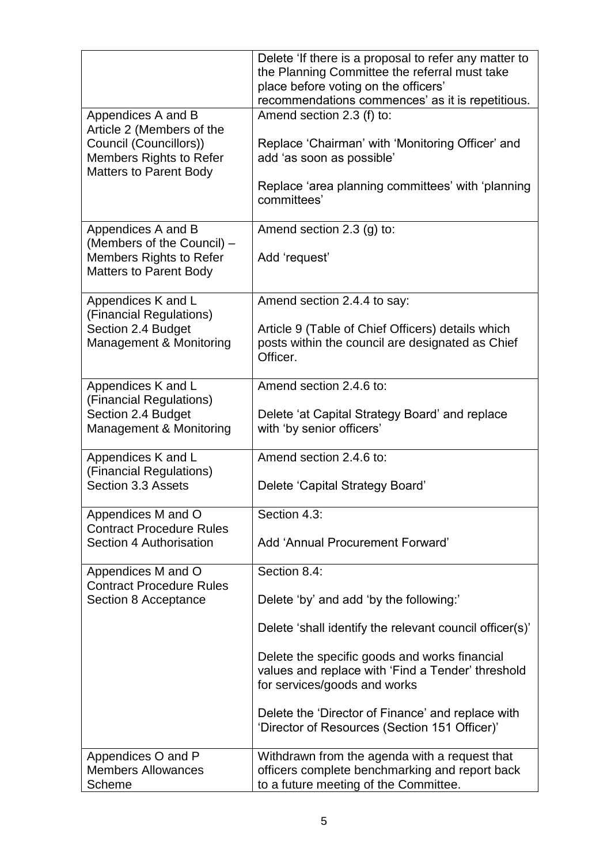| Appendices A and B<br>Article 2 (Members of the<br>Council (Councillors))<br>Members Rights to Refer<br><b>Matters to Parent Body</b> | Delete 'If there is a proposal to refer any matter to<br>the Planning Committee the referral must take<br>place before voting on the officers'<br>recommendations commences' as it is repetitious.<br>Amend section 2.3 (f) to:<br>Replace 'Chairman' with 'Monitoring Officer' and<br>add 'as soon as possible'<br>Replace 'area planning committees' with 'planning<br>committees' |
|---------------------------------------------------------------------------------------------------------------------------------------|--------------------------------------------------------------------------------------------------------------------------------------------------------------------------------------------------------------------------------------------------------------------------------------------------------------------------------------------------------------------------------------|
| Appendices A and B<br>(Members of the Council) -<br>Members Rights to Refer<br><b>Matters to Parent Body</b>                          | Amend section 2.3 (g) to:<br>Add 'request'                                                                                                                                                                                                                                                                                                                                           |
| Appendices K and L<br>(Financial Regulations)<br>Section 2.4 Budget<br>Management & Monitoring                                        | Amend section 2.4.4 to say:<br>Article 9 (Table of Chief Officers) details which<br>posts within the council are designated as Chief<br>Officer.                                                                                                                                                                                                                                     |
| Appendices K and L<br>(Financial Regulations)<br>Section 2.4 Budget<br>Management & Monitoring                                        | Amend section 2.4.6 to:<br>Delete 'at Capital Strategy Board' and replace<br>with 'by senior officers'                                                                                                                                                                                                                                                                               |
| Appendices K and L<br>(Financial Regulations)<br>Section 3.3 Assets                                                                   | Amend section 2.4.6 to:<br>Delete 'Capital Strategy Board'                                                                                                                                                                                                                                                                                                                           |
| Appendices M and O<br><b>Contract Procedure Rules</b><br>Section 4 Authorisation                                                      | Section 4.3:<br>Add 'Annual Procurement Forward'                                                                                                                                                                                                                                                                                                                                     |
| Appendices M and O<br><b>Contract Procedure Rules</b><br>Section 8 Acceptance                                                         | Section 8.4:<br>Delete 'by' and add 'by the following:'<br>Delete 'shall identify the relevant council officer(s)'<br>Delete the specific goods and works financial<br>values and replace with 'Find a Tender' threshold<br>for services/goods and works<br>Delete the 'Director of Finance' and replace with<br>'Director of Resources (Section 151 Officer)'                       |
| Appendices O and P<br><b>Members Allowances</b><br><b>Scheme</b>                                                                      | Withdrawn from the agenda with a request that<br>officers complete benchmarking and report back<br>to a future meeting of the Committee.                                                                                                                                                                                                                                             |